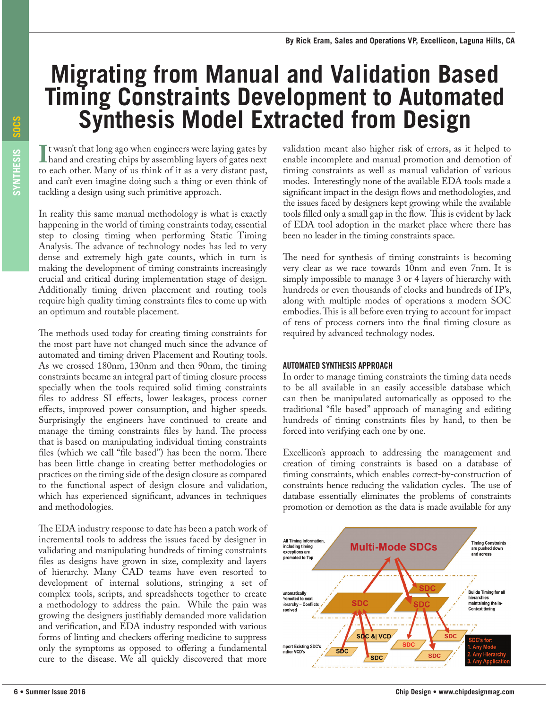## **Migrating from Manual and Validation Based Timing Constraints Development to Automated<br>Synthesis Model Extracted from Design**

If washt that long ago when engineers were laying gates by<br>hand and creating chips by assembling layers of gates next<br>to each other. Many of us think of it as a very distant past, I t wasn't that long ago when engineers were laying gates by hand and creating chips by assembling layers of gates next and can't even imagine doing such a thing or even think of tackling a design using such primitive approach.

In reality this same manual methodology is what is exactly happening in the world of timing constraints today, essential step to closing timing when performing Static Timing Analysis. The advance of technology nodes has led to very dense and extremely high gate counts, which in turn is making the development of timing constraints increasingly crucial and critical during implementation stage of design. Additionally timing driven placement and routing tools require high quality timing constraints fles to come up with an optimum and routable placement.

**EXTREMENTS MODIES EXTREMENTS INTO THE CONFERENCE INTERFECT ON THE CONFERENCE CONFERENCE CONFERENCE CONFERENCE CONFERENCE CONFERENCE CONFERENCE CONFERENCE CONFERENCE CONFERENCE CONFERENCE CONFERENCE CONFERENCE CONFERENCE** The methods used today for creating timing constraints for the most part have not changed much since the advance of automated and timing driven Placement and Routing tools. As we crossed 180nm, 130nm and then 90nm, the timing constraints became an integral part of timing closure process specially when the tools required solid timing constraints files to address SI effects, lower leakages, process corner efects, improved power consumption, and higher speeds. Surprisingly the engineers have continued to create and manage the timing constraints files by hand. The process that is based on manipulating individual timing constraints files (which we call "file based") has been the norm. There has been little change in creating better methodologies or practices on the timing side of the design closure as compared to the functional aspect of design closure and validation, which has experienced signifcant, advances in techniques and methodologies.

The EDA industry response to date has been a patch work of incremental tools to address the issues faced by designer in validating and manipulating hundreds of timing constraints fles as designs have grown in size, complexity and layers of hierarchy. Many CAD teams have even resorted to development of internal solutions, stringing a set of complex tools, scripts, and spreadsheets together to create a methodology to address the pain. While the pain was growing the designers justifably demanded more validation and verifcation, and EDA industry responded with various forms of linting and checkers offering medicine to suppress only the symptoms as opposed to ofering a fundamental cure to the disease. We all quickly discovered that more

validation meant also higher risk of errors, as it helped to enable incomplete and manual promotion and demotion of timing constraints as well as manual validation of various modes. Interestingly none of the available EDA tools made a signifcant impact in the design fows and methodologies, and the issues faced by designers kept growing while the available tools filled only a small gap in the flow. This is evident by lack of EDA tool adoption in the market place where there has been no leader in the timing constraints space.

The need for synthesis of timing constraints is becoming very clear as we race towards 10nm and even 7nm. It is simply impossible to manage 3 or 4 layers of hierarchy with hundreds or even thousands of clocks and hundreds of IP's, along with multiple modes of operations a modern SOC embodies. This is all before even trying to account for impact of tens of process corners into the fnal timing closure as required by advanced technology nodes.

## AUTOMATED SYNTHESIS APPROACH

In order to manage timing constraints the timing data needs to be all available in an easily accessible database which can then be manipulated automatically as opposed to the traditional "fle based" approach of managing and editing hundreds of timing constraints fles by hand, to then be forced into verifying each one by one.

Excellicon's approach to addressing the management and creation of timing constraints is based on a database of timing constraints, which enables correct-by-construction of constraints hence reducing the validation cycles. The use of database essentially eliminates the problems of constraints promotion or demotion as the data is made available for any